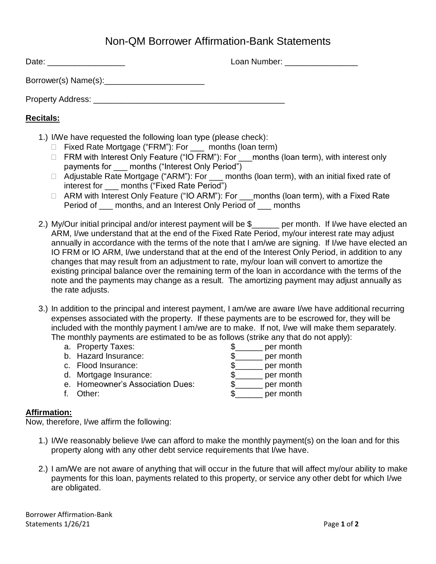## Non-QM Borrower Affirmation-Bank Statements

Date: \_\_\_\_\_\_\_\_\_\_\_\_\_\_\_\_\_ Loan Number: \_\_\_\_\_\_\_\_\_\_\_\_\_\_\_\_ Borrower(s) Name(s):\_\_\_\_\_\_\_\_\_\_\_\_\_\_\_\_\_\_\_\_\_\_ Property Address: \_\_\_\_\_\_\_\_\_\_\_\_\_\_\_\_\_\_\_\_\_\_\_\_\_\_\_\_\_\_\_\_\_\_\_\_\_\_\_\_\_\_

## **Recitals:**

- 1.) I/We have requested the following loan type (please check):
	- □ Fixed Rate Mortgage ("FRM"): For \_\_\_ months (loan term)
	- □ FRM with Interest Only Feature ("IO FRM"): For months (loan term), with interest only payments for \_\_\_ months ("Interest Only Period")
	- □ Adjustable Rate Mortgage ("ARM"): For \_\_\_ months (loan term), with an initial fixed rate of interest for months ("Fixed Rate Period")
	- □ ARM with Interest Only Feature ("IO ARM"): For months (loan term), with a Fixed Rate Period of \_\_\_ months, and an Interest Only Period of \_\_\_ months
- 2.) My/Our initial principal and/or interest payment will be \$\_\_\_\_\_\_ per month. If I/we have elected an ARM, I/we understand that at the end of the Fixed Rate Period, my/our interest rate may adjust annually in accordance with the terms of the note that I am/we are signing. If I/we have elected an IO FRM or IO ARM, I/we understand that at the end of the Interest Only Period, in addition to any changes that may result from an adjustment to rate, my/our loan will convert to amortize the existing principal balance over the remaining term of the loan in accordance with the terms of the note and the payments may change as a result. The amortizing payment may adjust annually as the rate adjusts.
- 3.) In addition to the principal and interest payment, I am/we are aware I/we have additional recurring expenses associated with the property. If these payments are to be escrowed for, they will be included with the monthly payment I am/we are to make. If not, I/we will make them separately. The monthly payments are estimated to be as follows (strike any that do not apply):

| a. Property Taxes:               | per month |
|----------------------------------|-----------|
| b. Hazard Insurance:             | per month |
| c. Flood Insurance:              | per month |
| d. Mortgage Insurance:           | per month |
| e. Homeowner's Association Dues: | per month |
| Other:                           | per month |

## **Affirmation:**

Now, therefore, I/we affirm the following:

- 1.) I/We reasonably believe I/we can afford to make the monthly payment(s) on the loan and for this property along with any other debt service requirements that I/we have.
- 2.) I am/We are not aware of anything that will occur in the future that will affect my/our ability to make payments for this loan, payments related to this property, or service any other debt for which I/we are obligated.